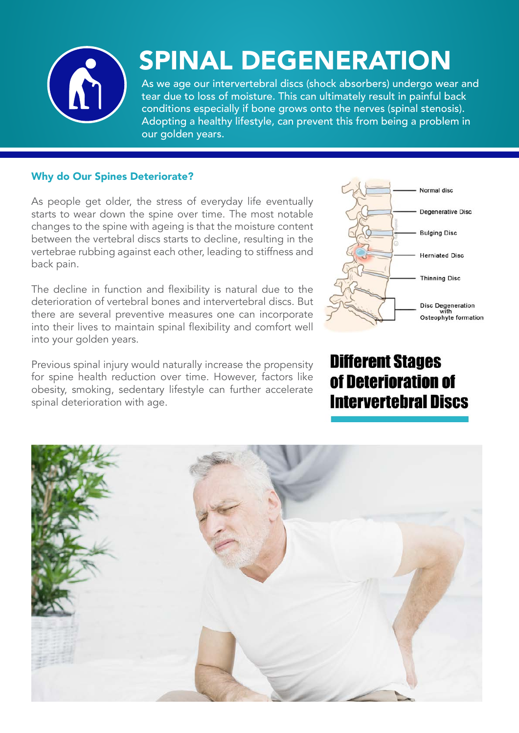

## SPINAL DEGENERATION

As we age our intervertebral discs (shock absorbers) undergo wear and tear due to loss of moisture. This can ultimately result in painful back conditions especially if bone grows onto the nerves (spinal stenosis). Adopting a healthy lifestyle, can prevent this from being a problem in our golden years.

## Why do Our Spines Deteriorate?

As people get older, the stress of everyday life eventually starts to wear down the spine over time. The most notable changes to the spine with ageing is that the moisture content between the vertebral discs starts to decline, resulting in the vertebrae rubbing against each other, leading to stiffness and back pain.

The decline in function and flexibility is natural due to the deterioration of vertebral bones and intervertebral discs. But there are several preventive measures one can incorporate into their lives to maintain spinal flexibility and comfort well into your golden years.

Previous spinal injury would naturally increase the propensity for spine health reduction over time. However, factors like obesity, smoking, sedentary lifestyle can further accelerate spinal deterioration with age.



## **Different Stages** of Deterioration of **Intervertebral Discs**